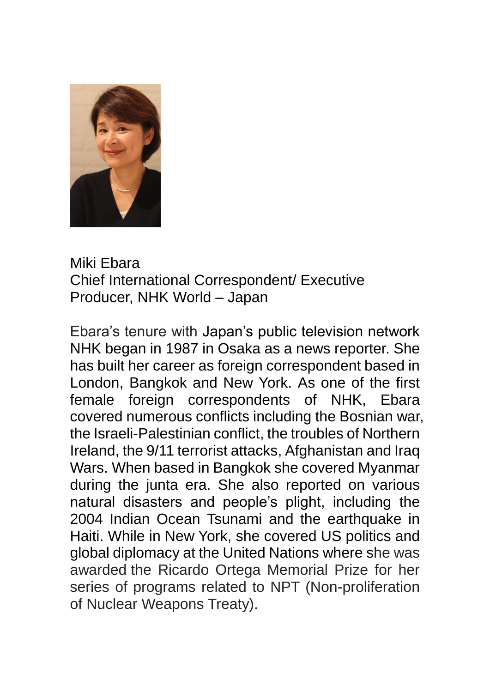

## Miki Ebara Chief International Correspondent/ Executive Producer, NHK World – Japan

Ebara's tenure with Japan's public television network NHK began in 1987 in Osaka as a news reporter. She has built her career as foreign correspondent based in London, Bangkok and New York. As one of the first female foreign correspondents of NHK, Ebara covered numerous conflicts including the Bosnian war, the Israeli-Palestinian conflict, the troubles of Northern Ireland, the 9/11 terrorist attacks, Afghanistan and Iraq Wars. When based in Bangkok she covered Myanmar during the junta era. She also reported on various natural disasters and people's plight, including the 2004 Indian Ocean Tsunami and the earthquake in Haiti. While in New York, she covered US politics and global diplomacy at the United Nations where she was awarded the Ricardo Ortega Memorial Prize for her series of programs related to NPT (Non-proliferation of Nuclear Weapons Treaty).